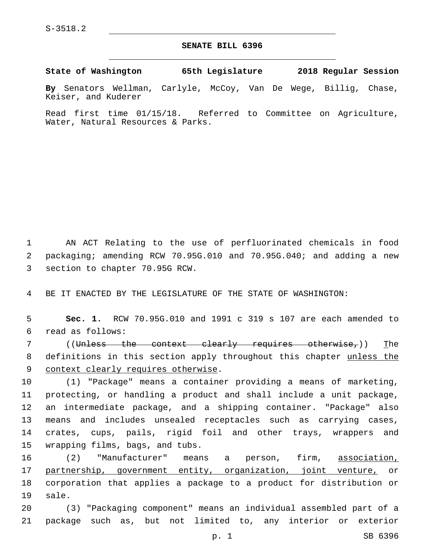## **SENATE BILL 6396**

**State of Washington 65th Legislature 2018 Regular Session**

**By** Senators Wellman, Carlyle, McCoy, Van De Wege, Billig, Chase, Keiser, and Kuderer

Read first time 01/15/18. Referred to Committee on Agriculture, Water, Natural Resources & Parks.

1 AN ACT Relating to the use of perfluorinated chemicals in food 2 packaging; amending RCW 70.95G.010 and 70.95G.040; and adding a new 3 section to chapter 70.95G RCW.

4 BE IT ENACTED BY THE LEGISLATURE OF THE STATE OF WASHINGTON:

5 **Sec. 1.** RCW 70.95G.010 and 1991 c 319 s 107 are each amended to read as follows:6

7 ((Unless the context clearly requires otherwise,)) The 8 definitions in this section apply throughout this chapter unless the 9 context clearly requires otherwise.

 (1) "Package" means a container providing a means of marketing, protecting, or handling a product and shall include a unit package, an intermediate package, and a shipping container. "Package" also means and includes unsealed receptacles such as carrying cases, crates, cups, pails, rigid foil and other trays, wrappers and 15 wrapping films, bags, and tubs.

16 (2) "Manufacturer" means a person, firm, association, 17 partnership, government entity, organization, joint venture, or 18 corporation that applies a package to a product for distribution or 19 sale.

20 (3) "Packaging component" means an individual assembled part of a 21 package such as, but not limited to, any interior or exterior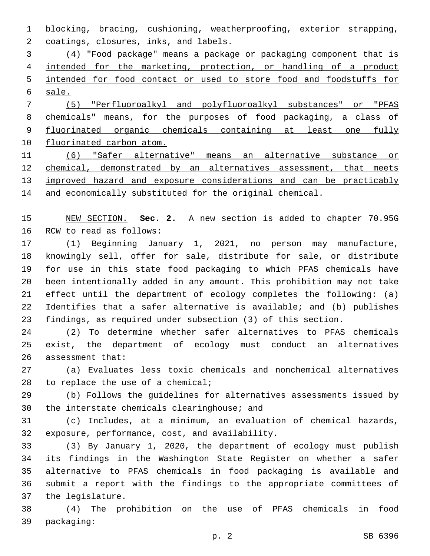blocking, bracing, cushioning, weatherproofing, exterior strapping, 2 coatings, closures, inks, and labels.

 (4) "Food package" means a package or packaging component that is intended for the marketing, protection, or handling of a product intended for food contact or used to store food and foodstuffs for sale.

 (5) "Perfluoroalkyl and polyfluoroalkyl substances" or "PFAS chemicals" means, for the purposes of food packaging, a class of 9 fluorinated organic chemicals containing at least one fully fluorinated carbon atom.

 (6) "Safer alternative" means an alternative substance or chemical, demonstrated by an alternatives assessment, that meets 13 improved hazard and exposure considerations and can be practicably and economically substituted for the original chemical.

 NEW SECTION. **Sec. 2.** A new section is added to chapter 70.95G 16 RCW to read as follows:

 (1) Beginning January 1, 2021, no person may manufacture, knowingly sell, offer for sale, distribute for sale, or distribute for use in this state food packaging to which PFAS chemicals have been intentionally added in any amount. This prohibition may not take effect until the department of ecology completes the following: (a) Identifies that a safer alternative is available; and (b) publishes findings, as required under subsection (3) of this section.

 (2) To determine whether safer alternatives to PFAS chemicals exist, the department of ecology must conduct an alternatives 26 assessment that:

 (a) Evaluates less toxic chemicals and nonchemical alternatives 28 to replace the use of a chemical;

 (b) Follows the guidelines for alternatives assessments issued by 30 the interstate chemicals clearinghouse; and

 (c) Includes, at a minimum, an evaluation of chemical hazards, 32 exposure, performance, cost, and availability.

 (3) By January 1, 2020, the department of ecology must publish its findings in the Washington State Register on whether a safer alternative to PFAS chemicals in food packaging is available and submit a report with the findings to the appropriate committees of 37 the legislature.

 (4) The prohibition on the use of PFAS chemicals in food 39 packaging: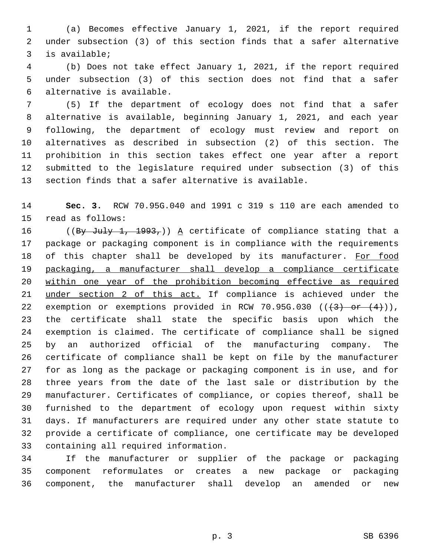(a) Becomes effective January 1, 2021, if the report required under subsection (3) of this section finds that a safer alternative is available;3

 (b) Does not take effect January 1, 2021, if the report required under subsection (3) of this section does not find that a safer alternative is available.6

 (5) If the department of ecology does not find that a safer alternative is available, beginning January 1, 2021, and each year following, the department of ecology must review and report on alternatives as described in subsection (2) of this section. The prohibition in this section takes effect one year after a report submitted to the legislature required under subsection (3) of this section finds that a safer alternative is available.

 **Sec. 3.** RCW 70.95G.040 and 1991 c 319 s 110 are each amended to 15 read as follows:

16 ((By July 1, 1993,)) A certificate of compliance stating that a package or packaging component is in compliance with the requirements 18 of this chapter shall be developed by its manufacturer. For food packaging, a manufacturer shall develop a compliance certificate within one year of the prohibition becoming effective as required under section 2 of this act. If compliance is achieved under the 22 exemption or exemptions provided in RCW 70.95G.030  $((+3)$  or  $(4)$ ), the certificate shall state the specific basis upon which the exemption is claimed. The certificate of compliance shall be signed by an authorized official of the manufacturing company. The certificate of compliance shall be kept on file by the manufacturer for as long as the package or packaging component is in use, and for three years from the date of the last sale or distribution by the manufacturer. Certificates of compliance, or copies thereof, shall be furnished to the department of ecology upon request within sixty days. If manufacturers are required under any other state statute to provide a certificate of compliance, one certificate may be developed 33 containing all required information.

 If the manufacturer or supplier of the package or packaging component reformulates or creates a new package or packaging component, the manufacturer shall develop an amended or new